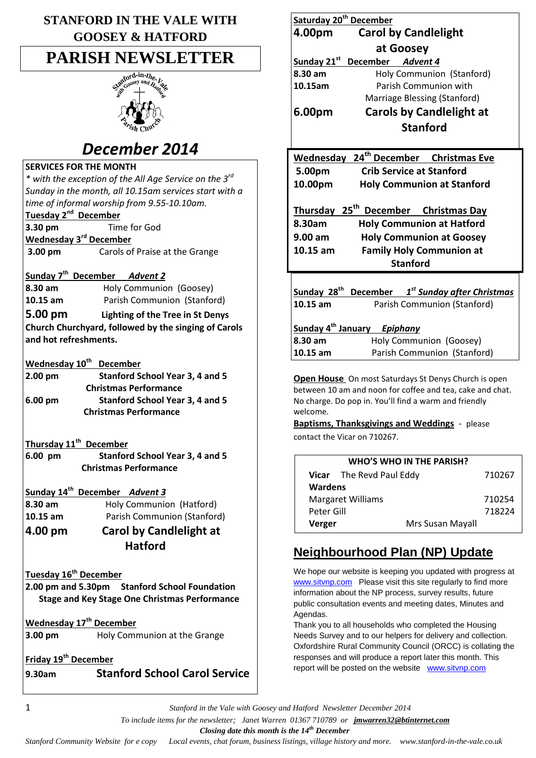| <b>STANFORD IN THE VALE WITH</b> |
|----------------------------------|
| <b>GOOSEY &amp; HATFORD</b>      |

# **PARISH NEWSLETTER**



# *December 2014*

## **SERVICES FOR THE MONTH**

*\* with the exception of the All Age Service on the 3rd Sunday in the month, all 10.15am services start with a time of informal worship from 9.55-10.10am.* **Tuesday 2<sup>nd</sup> December** 

**3.30 pm** Time for God

**Wednesday 3rd December 3.00 pm** Carols of Praise at the Grange

**Sunday 7 th December** *Advent 2*

**8.30 am** Holy Communion (Goosey) **10.15 am** Parish Communion (Stanford)

**5.00 pm Lighting of the Tree in St Denys Church Churchyard, followed by the singing of Carols and hot refreshments.**

## **Wednesday 10th December**

| $2.00 \text{ pm}$ | <b>Stanford School Year 3, 4 and 5</b> |
|-------------------|----------------------------------------|
|                   | <b>Christmas Performance</b>           |
| $6.00 \text{ pm}$ | <b>Stanford School Year 3, 4 and 5</b> |
|                   | <b>Christmas Performance</b>           |

### **Thursday 11th December**

**6.00 pm Stanford School Year 3, 4 and 5 Christmas Performance**

## **Sunday 14th December** *Advent 3*

- **8.30 am** Holy Communion (Hatford)
- **10.15 am** Parish Communion (Stanford)

## **4.00 pm Carol by Candlelight at Hatford**

## **Tuesday 16th December**

**2.00 pm and 5.30pm Stanford School Foundation Stage and Key Stage One Christmas Performance**

**Wednesday 17th December** 

**3.00 pm Holy Communion at the Grange** 

## **Friday 19th December**

**9.30am Stanford School Carol Service**

| Saturday 20 <sup>th</sup> December               |                                                   |  |
|--------------------------------------------------|---------------------------------------------------|--|
| 4.00pm                                           | <b>Carol by Candlelight</b>                       |  |
| at Goosey                                        |                                                   |  |
| Sunday 21st                                      | December Advent 4                                 |  |
| 8.30 am                                          | Holy Communion (Stanford)                         |  |
| 10.15am                                          | Parish Communion with                             |  |
|                                                  | Marriage Blessing (Stanford)                      |  |
| 6.00pm                                           | <b>Carols by Candlelight at</b>                   |  |
|                                                  | <b>Stanford</b>                                   |  |
|                                                  |                                                   |  |
|                                                  | Wednesday 24 <sup>th</sup> December Christmas Eve |  |
| 5.00pm                                           | <b>Crib Service at Stanford</b>                   |  |
| 10.00pm                                          | <b>Holy Communion at Stanford</b>                 |  |
|                                                  |                                                   |  |
| Thursday 25 <sup>th</sup> December Christmas Day |                                                   |  |
| 8.30am                                           | <b>Holy Communion at Hatford</b>                  |  |
| $9.00 \text{ am}$                                | <b>Holy Communion at Goosey</b>                   |  |
| $10.15$ am                                       | <b>Family Holy Communion at</b>                   |  |
|                                                  | <b>Stanford</b>                                   |  |
|                                                  |                                                   |  |
| Sunday 28 <sup>th</sup>                          | December 1 <sup>st</sup> Sunday after Christmas   |  |
| 10.15 am                                         | Parish Communion (Stanford)                       |  |
|                                                  |                                                   |  |
| Sunday 4 <sup>th</sup> January Epiphany          |                                                   |  |
| 8.30 am                                          | Holy Communion (Goosey)                           |  |
| 10.15 am                                         | Parish Communion (Stanford)                       |  |

**Open House** On most Saturdays St Denys Church is open between 10 am and noon for coffee and tea, cake and chat. No charge. Do pop in. You'll find a warm and friendly welcome.

**Baptisms, Thanksgivings and Weddings** - please contact the Vicar on 710267.

| <b>WHO'S WHO IN THE PARISH?</b> |  |  |  |
|---------------------------------|--|--|--|
| 710267                          |  |  |  |
|                                 |  |  |  |
| 710254                          |  |  |  |
| 718224                          |  |  |  |
|                                 |  |  |  |
|                                 |  |  |  |

## **Neighbourhood Plan (NP) Update**

We hope our website is keeping you updated with progress at [www.sitvnp.com](http://www.sitvnp.com/) Please visit this site regularly to find more information about the NP process, survey results, future public consultation events and meeting dates, Minutes and Agendas.

Thank you to all households who completed the Housing Needs Survey and to our helpers for delivery and collection. Oxfordshire Rural Community Council (ORCC) is collating the responses and will produce a report later this month. This report will be posted on the website [www.sitvnp.com](http://www.sitvnp.com/)

1 *Stanford in the Vale with Goosey and Hatford Newsletter December 2014*

 *To include items for the newsletter; Janet Warren 01367 710789 or jmwarren32@btinternet.com*

 *Closing date this month is the 14th December*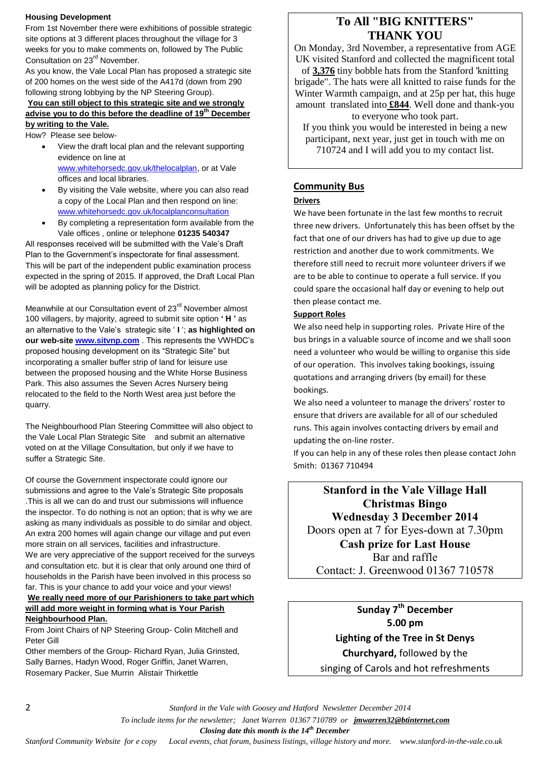#### **Housing Development**

From 1st November there were exhibitions of possible strategic site options at 3 different places throughout the village for 3 weeks for you to make comments on, followed by The Public Consultation on 23<sup>rd</sup> November.

As you know, the Vale Local Plan has proposed a strategic site of 200 homes on the west side of the A417d (down from 290 following strong lobbying by the NP Steering Group).

#### **You can still object to this strategic site and we strongly advise you to do this before the deadline of 19th December by writing to the Vale.**

How? Please see below-

- View the draft local plan and the relevant supporting evidence on line at [www.whitehorsedc.gov.uk/thelocalplan,](http://www.whitehorsedc.gov.uk/thelocalplan) or at Vale offices and local libraries.
- By visiting the Vale website, where you can also read a copy of the Local Plan and then respond on line: [www.whitehorsedc.gov.uk/localplanconsultation](http://www.whitehorsedc.gov.uk/localplanconsultation)
- By completing a representation form available from the Vale offices , online or telephone **01235 540347**

All responses received will be submitted with the Vale's Draft Plan to the Government's inspectorate for final assessment. This will be part of the independent public examination process expected in the spring of 2015. If approved, the Draft Local Plan will be adopted as planning policy for the District.

Meanwhile at our Consultation event of 23<sup>rd</sup> November almost 100 villagers, by majority, agreed to submit site option **' H '** as an alternative to the Vale's strategic site ' **I** '; **as highlighted on our web-site [www.sitvnp.com](http://www.sitvnp.com/)** . This represents the VWHDC's proposed housing development on its "Strategic Site" but incorporating a smaller buffer strip of land for leisure use between the proposed housing and the White Horse Business Park. This also assumes the Seven Acres Nursery being relocated to the field to the North West area just before the quarry.

The Neighbourhood Plan Steering Committee will also object to the Vale Local Plan Strategic Site and submit an alternative voted on at the Village Consultation, but only if we have to suffer a Strategic Site.

Of course the Government inspectorate could ignore our submissions and agree to the Vale's Strategic Site proposals .This is all we can do and trust our submissions will influence the inspector. To do nothing is not an option; that is why we are asking as many individuals as possible to do similar and object. An extra 200 homes will again change our village and put even more strain on all services, facilities and infrastructure. We are very appreciative of the support received for the surveys and consultation etc. but it is clear that only around one third of households in the Parish have been involved in this process so far. This is your chance to add your voice and your views! **We really need more of our Parishioners to take part which** 

## **will add more weight in forming what is Your Parish Neighbourhood Plan.**

From Joint Chairs of NP Steering Group- Colin Mitchell and Peter Gill

Other members of the Group- Richard Ryan, Julia Grinsted, Sally Barnes, Hadyn Wood, Roger Griffin, Janet Warren, Rosemary Packer, Sue Murrin Alistair Thirkettle

## **To All "BIG KNITTERS" THANK YOU**

On Monday, 3rd November, a representative from AGE UK visited Stanford and collected the magnificent total

of **3,376** tiny bobble hats from the Stanford 'knitting brigade". The hats were all knitted to raise funds for the Winter Warmth campaign, and at 25p per hat, this huge amount translated into **£844**. Well done and thank-you to everyone who took part.

If you think you would be interested in being a new participant, next year, just get in touch with me on 710724 and I will add you to my contact list.

#### **Community Bus**

#### **Drivers**

We have been fortunate in the last few months to recruit three new drivers. Unfortunately this has been offset by the fact that one of our drivers has had to give up due to age restriction and another due to work commitments. We therefore still need to recruit more volunteer drivers if we are to be able to continue to operate a full service. If you could spare the occasional half day or evening to help out then please contact me.

#### **Support Roles**

We also need help in supporting roles. Private Hire of the bus brings in a valuable source of income and we shall soon need a volunteer who would be willing to organise this side of our operation. This involves taking bookings, issuing quotations and arranging drivers (by email) for these bookings.

We also need a volunteer to manage the drivers' roster to ensure that drivers are available for all of our scheduled runs. This again involves contacting drivers by email and updating the on-line roster.

If you can help in any of these roles then please contact John Smith: 01367 710494

**Stanford in the Vale Village Hall Christmas Bingo Wednesday 3 December 2014** Doors open at 7 for Eyes-down at 7.30pm

**Cash prize for Last House** Bar and raffle

Contact: J. Greenwood 01367 710578

**Sunday 7th December 5.00 pm Lighting of the Tree in St Denys Churchyard,** followed by the singing of Carols and hot refreshments

2 *Stanford in the Vale with Goosey and Hatford Newsletter December 2014*

 *To include items for the newsletter; Janet Warren 01367 710789 or jmwarren32@btinternet.com*

 *Closing date this month is the 14th December*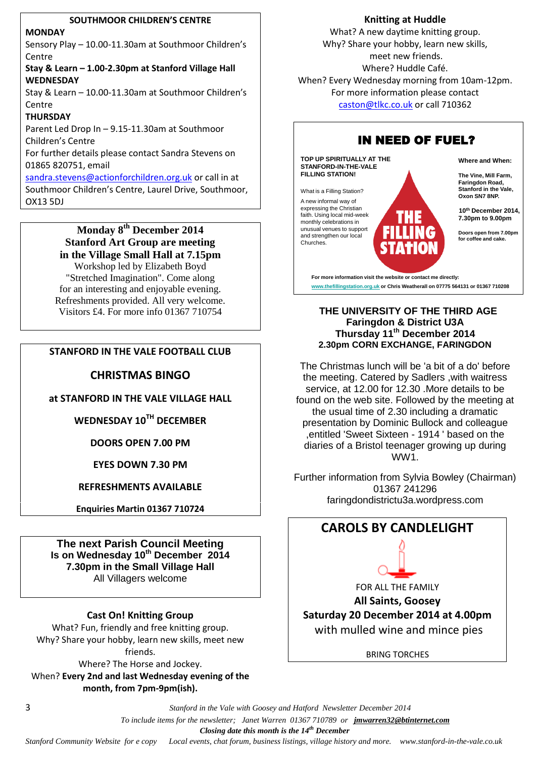#### **SOUTHMOOR CHILDREN'S CENTRE**

#### **MONDAY**

Sensory Play – 10.00-11.30am at Southmoor Children's Centre

#### **Stay & Learn – 1.00-2.30pm at Stanford Village Hall WEDNESDAY**

Stay & Learn – 10.00-11.30am at Southmoor Children's Centre

#### **THURSDAY**

Parent Led Drop In – 9.15-11.30am at Southmoor Children's Centre

For further details please contact Sandra Stevens on 01865 820751, email

[sandra.stevens@actionforchildren.org.uk](mailto:sandra.stevens@actionforchildren.org.uk) or call in at Southmoor Children's Centre, Laurel Drive, Southmoor, OX13 5DJ

> **Monday 8th December 2014 Stanford Art Group are meeting in the Village Small Hall at 7.15pm** Workshop led by Elizabeth Boyd "Stretched Imagination". Come along for an interesting and enjoyable evening.

Refreshments provided. All very welcome. Visitors £4. For more info 01367 710754

#### **STANFORD IN THE VALE FOOTBALL CLUB**

#### **CHRISTMAS BINGO**

**at STANFORD IN THE VALE VILLAGE HALL**

**WEDNESDAY 10 TH DECEMBER**

**DOORS OPEN 7.00 PM**

**EYES DOWN 7.30 PM**

**REFRESHMENTS AVAILABLE**

**Enquiries Martin 01367 710724**

**The next Parish Council Meeting Is on Wednesday 10th December 2014 7.30pm in the Small Village Hall** All Villagers welcome

#### **Cast On! Knitting Group**

What? Fun, friendly and free knitting group. Why? Share your hobby, learn new skills, meet new friends. Where? The Horse and Jockey.

When? **Every 2nd and last Wednesday evening of the month, from 7pm-9pm(ish).**

#### **Knitting at Huddle**

What? A new daytime knitting group. Why? Share your hobby, learn new skills, meet new friends. Where? Huddle Café. When? Every Wednesday morning from 10am-12pm. For more information please contact [caston@tlkc.co.uk](mailto:caston@tlkc.co.uk) or call 710362



**THE UNIVERSITY OF THE THIRD AGE Faringdon & District U3A Thursday 11 th December 2014 2.30pm CORN EXCHANGE, FARINGDON**

The Christmas lunch will be 'a bit of a do' before the meeting. Catered by Sadlers ,with waitress service, at 12.00 for 12.30 .More details to be found on the web site. Followed by the meeting at the usual time of 2.30 including a dramatic presentation by Dominic Bullock and colleague ,entitled 'Sweet Sixteen - 1914 ' based on the diaries of a Bristol teenager growing up during WW1.

Further information from Sylvia Bowley (Chairman) 01367 241296 faringdondistrictu3a.wordpress.com



BRING TORCHES

3 *Stanford in the Vale with Goosey and Hatford Newsletter December 2014*

 *To include items for the newsletter; Janet Warren 01367 710789 or jmwarren32@btinternet.com*

 *Closing date this month is the 14th December*